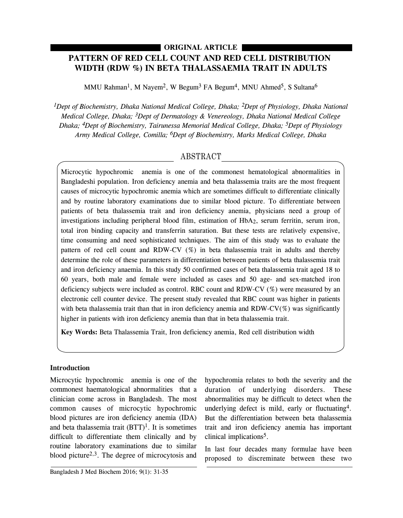# **PATTERN OF RED CELL COUNT AND RED CELL DISTRIBUTION WIDTH (RDW %) IN BETA THALASSAEMIA TRAIT IN ADULTS ORIGINAL ARTICLE**

MMU Rahman<sup>1</sup>, M Nayem<sup>2</sup>, W Begum<sup>3</sup> FA Begum<sup>4</sup>, MNU Ahmed<sup>5</sup>, S Sultana<sup>6</sup>

*1Dept of Biochemistry, Dhaka National Medical College, Dhaka; 2Dept of Physiology, Dhaka National Medical College, Dhaka; 3Dept of Dermatology & Venereology, Dhaka National Medical College Dhaka; 4Dept of Biochemistry, Tairunessa Memorial Medical College, Dhaka; 5Dept of Physiology Army Medical College, Comilla; 6Dept of Biochemistry, Marks Medical College, Dhaka*

# ABSTRACT

Microcytic hypochromic anemia is one of the commonest hematological abnormalities in Bangladeshi population. Iron deficiency anemia and beta thalassemia traits are the most frequent causes of microcytic hypochromic anemia which are sometimes difficult to differentiate clinically and by routine laboratory examinations due to similar blood picture. To differentiate between patients of beta thalassemia trait and iron deficiency anemia, physicians need a group of investigations including peripheral blood film, estimation of HbA2, serum ferritin, serum iron, total iron binding capacity and transferrin saturation. But these tests are relatively expensive, time consuming and need sophisticated techniques. The aim of this study was to evaluate the pattern of red cell count and RDW-CV (%) in beta thalassemia trait in adults and thereby determine the role of these parameters in differentiation between patients of beta thalassemia trait and iron deficiency anaemia. In this study 50 confirmed cases of beta thalassemia trait aged 18 to 60 years, both male and female were included as cases and 50 age- and sex-matched iron deficiency subjects were included as control. RBC count and RDW-CV (%) were measured by an electronic cell counter device. The present study revealed that RBC count was higher in patients with beta thalassemia trait than that in iron deficiency anemia and RDW-CV( $\%$ ) was significantly higher in patients with iron deficiency anemia than that in beta thalassemia trait.

**Key Words:** Beta Thalassemia Trait, Iron deficiency anemia, Red cell distribution width

# **Introduction**

Microcytic hypochromic anemia is one of the commonest haematological abnormalities that a clinician come across in Bangladesh. The most common causes of microcytic hypochromic blood pictures are iron deficiency anemia (IDA) and beta thalassemia trait  $(BTT)^1$ . It is sometimes difficult to differentiate them clinically and by routine laboratory examinations due to similar blood picture<sup>2,3</sup>. The degree of microcytosis and

hypochromia relates to both the severity and the duration of underlying disorders. These abnormalities may be difficult to detect when the underlying defect is mild, early or fluctuating4. But the differentiation between beta thalassemia trait and iron deficiency anemia has important clinical implications5.

In last four decades many formulae have been proposed to discreminate between these two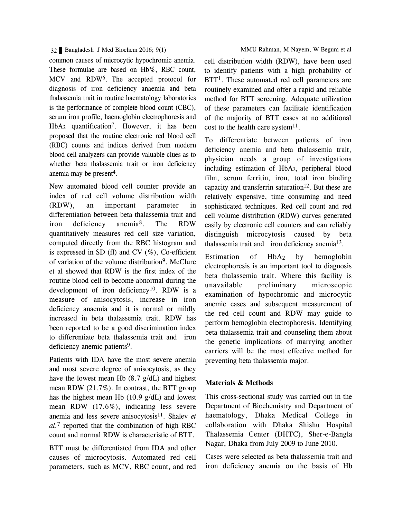## 32 Bangladesh J Med Biochem 2016; 9(1) MMU Rahman, M Nayem, W Begum et al

common causes of microcytic hypochromic anemia. These formulae are based on Hb%, RBC count, MCV and RDW6. The accepted protocol for diagnosis of iron deficiency anaemia and beta thalassemia trait in routine haematology laboratories is the performance of complete blood count (CBC), serum iron profile, haemoglobin electrophoresis and HbA2 quantification7. However, it has been proposed that the routine electronic red blood cell (RBC) counts and indices derived from modern blood cell analyzers can provide valuable clues as to whether beta thalassemia trait or iron deficiency anemia may be present 4.

New automated blood cell counter provide an index of red cell volume distribution width (RDW), an important parameter in differentiation between beta thalassemia trait and iron deficiency anemia8. The RDW quantitatively measures red cell size variation, computed directly from the RBC histogram and is expressed in SD (fl) and CV  $(\%)$ . Co-efficient of variation of the volume distribution9. McClure et al showed that RDW is the first index of the routine blood cell to become abnormal during the development of iron deficiency<sup>10</sup>. RDW is a measure of anisocytosis, increase in iron deficiency anaemia and it is normal or mildly increased in beta thalassemia trait. RDW has been reported to be a good discrimination index to differentiate beta thalassemia trait and iron deficiency anemic patients<sup>9</sup>.

Patients with IDA have the most severe anemia and most severe degree of anisocytosis, as they have the lowest mean Hb (8.7 g/dL) and highest mean RDW (21.7%). In contrast, the BTT group has the highest mean Hb (10.9 g/dL) and lowest mean RDW (17.6%), indicating less severe anemia and less severe anisocytosis<sup>11</sup>. Shalev *et al.*<sup>7</sup> reported that the combination of high RBC count and normal RDW is characteristic of BTT.

BTT must be differentiated from IDA and other causes of microcytosis. Automated red cell parameters, such as MCV, RBC count, and red cell distribution width (RDW), have been used to identify patients with a high probability of BTT<sup>1</sup>. These automated red cell parameters are routinely examined and offer a rapid and reliable method for BTT screening. Adequate utilization of these parameters can facilitate identification of the majority of BTT cases at no additional cost to the health care system $11$ .

To differentiate between patients of iron deficiency anemia and beta thalassemia trait, physician needs a group of investigations including estimation of HbA2, peripheral blood film, serum ferritin, iron, total iron binding capacity and transferrin saturation<sup>12</sup>. But these are relatively expensive, time consuming and need sophisticated techniques. Red cell count and red cell volume distribution (RDW) curves generated easily by electronic cell counters and can reliably distinguish microcytosis caused by beta thalassemia trait and iron deficiency anemia13.

Estimation of  $HbA_2$  by hemoglobin electrophoresis is an important tool to diagnosis beta thalassemia trait. Where this facility is unavailable preliminary microscopic examination of hypochromic and microcytic anemic cases and subsequent measurement of the red cell count and RDW may guide to perform hemoglobin electrophoresis. Identifying beta thalassemia trait and counseling them about the genetic implications of marrying another carriers will be the most effective method for preventing beta thalassemia major.

# **Materials & Methods**

This cross-sectional study was carried out in the Department of Biochemistry and Department of haematology, Dhaka Medical College in collaboration with Dhaka Shishu Hospital Thalassemia Center (DHTC), Sher-e-Bangla Nagar, Dhaka from July 2009 to June 2010.

Cases were selected as beta thalassemia trait and iron deficiency anemia on the basis of Hb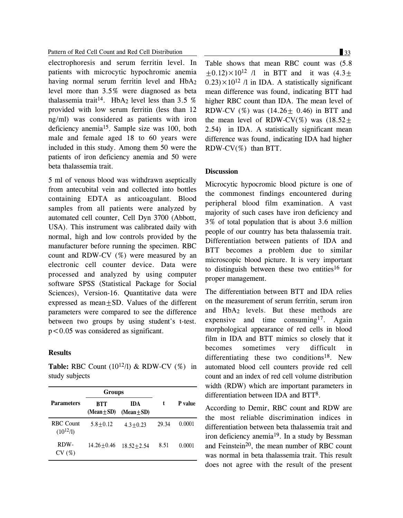#### Pattern of Red Cell Count and Red Cell Distribution 33

electrophoresis and serum ferritin level. In patients with microcytic hypochromic anemia having normal serum ferritin level and HbA<sub>2</sub> level more than 3.5% were diagnosed as beta thalassemia trait<sup>14</sup>. HbA<sub>2</sub> level less than 3.5 % provided with low serum ferritin (less than 12 ng/ml) was considered as patients with iron deficiency anemia15. Sample size was 100, both male and female aged 18 to 60 years were included in this study. Among them 50 were the patients of iron deficiency anemia and 50 were beta thalassemia trait.

5 ml of venous blood was withdrawn aseptically from antecubital vein and collected into bottles containing EDTA as anticoagulant. Blood samples from all patients were analyzed by automated cell counter, Cell Dyn 3700 (Abbott, USA). This instrument was calibrated daily with normal, high and low controls provided by the manufacturer before running the specimen. RBC count and RDW-CV (%) were measured by an electronic cell counter device. Data were processed and analyzed by using computer software SPSS (Statistical Package for Social Sciences), Version-16. Quantitative data were expressed as mean $+SD$ . Values of the different parameters were compared to see the difference between two groups by using student's t-test. p<0.05 was considered as significant.

### **Results**

**Table:** RBC Count  $(10^{12}/l)$  & RDW-CV  $(\%)$  in study subjects

|                                   | <b>Groups</b>          |                               |       |         |
|-----------------------------------|------------------------|-------------------------------|-------|---------|
| <b>Parameters</b>                 | BTT<br>$(Mean \pm SD)$ | <b>IDA</b><br>$(Mean \pm SD)$ | t     | P value |
| <b>RBC</b> Count<br>$(10^{12}/l)$ | $5.8 + 0.12$           | $4.3 + 0.23$                  | 29.34 | 0.0001  |
| RDW-<br>CV(%)                     | $14.26 + 0.46$         | $18.52 + 2.54$                | 8.51  | 0.0001  |

Table shows that mean RBC count was (5.8  $\pm$ 0.12) $\times$ 10<sup>12</sup> /l in BTT and it was (4.3 $\pm$  $(0.23) \times 10^{12}$  /l in IDA. A statistically significant mean difference was found, indicating BTT had higher RBC count than IDA. The mean level of RDW-CV  $(\%)$  was  $(14.26 \pm 0.46)$  in BTT and the mean level of RDW-CV(%) was  $(18.52 \pm$ 2.54) in IDA. A statistically significant mean difference was found, indicating IDA had higher RDW-CV(%) than BTT.

### **Discussion**

Microcytic hypocromic blood picture is one of the commonest findings encountered during peripheral blood film examination. A vast majority of such cases have iron deficiency and 3% of total population that is about 3.6 million people of our country has beta thalassemia trait. Differentiation between patients of IDA and BTT becomes a problem due to similar microscopic blood picture. It is very important to distinguish between these two entities<sup>16</sup> for proper management.

The differentiation between BTT and IDA relies on the measurement of serum ferritin, serum iron and HbA2 levels. But these methods are expensive and time consuming<sup>17</sup>. Again morphological appearance of red cells in blood film in IDA and BTT mimics so closely that it becomes sometimes very difficult in differentiating these two conditions<sup>18</sup>. New automated blood cell counters provide red cell count and an index of red cell volume distribution width (RDW) which are important parameters in differentiation between IDA and BTT8.

According to Demir, RBC count and RDW are the most reliable discrimination indices in differentiation between beta thalassemia trait and iron deficiency anemia<sup>19</sup>. In a study by Bessman and Feinstein<sup>20</sup>, the mean number of RBC count was normal in beta thalassemia trait. This result does not agree with the result of the present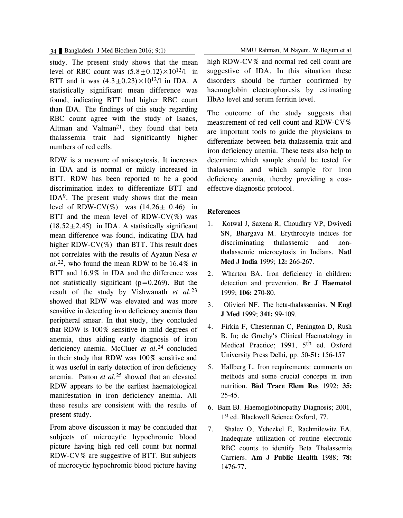study. The present study shows that the mean level of RBC count was  $(5.8+0.12)\times10^{12}/1$  in BTT and it was  $(4.3 + 0.23) \times 10^{12}$ /l in IDA. A statistically significant mean difference was found, indicating BTT had higher RBC count than IDA. The findings of this study regarding RBC count agree with the study of Isaacs, Altman and Valman<sup>21</sup>, they found that beta thalassemia trait had significantly higher numbers of red cells.

RDW is a measure of anisocytosis. It increases in IDA and is normal or mildly increased in BTT. RDW has been reported to be a good discrimination index to differentiate BTT and IDA9. The present study shows that the mean level of RDW-CV(%) was  $(14.26 \pm 0.46)$  in BTT and the mean level of RDW-CV $(\%)$  was  $(18.52+2.45)$  in IDA. A statistically significant mean difference was found, indicating IDA had higher RDW-CV(%) than BTT. This result does not correlates with the results of Ayatun Nesa *et al.*22, who found the mean RDW to be 16.4% in BTT and 16.9% in IDA and the difference was not statistically significant  $(p=0.269)$ . But the result of the study by Vishwanath *et al.*<sup>23</sup> showed that RDW was elevated and was more sensitive in detecting iron deficiency anemia than peripheral smear. In that study, they concluded that RDW is 100% sensitive in mild degrees of anemia, thus aiding early diagnosis of iron deficiency anemia. McCluer *et al.*<sup>24</sup> concluded in their study that RDW was 100% sensitive and it was useful in early detection of iron deficiency anemia. Patton *et al.*<sup>25</sup> showed that an elevated RDW appears to be the earliest haematological manifestation in iron deficiency anemia. All these results are consistent with the results of present study.

From above discussion it may be concluded that subjects of microcytic hypochromic blood picture having high red cell count but normal RDW-CV% are suggestive of BTT. But subjects of microcytic hypochromic blood picture having

34 Bangladesh J Med Biochem 2016; 9(1) MMU Rahman, M Nayem, W Begum et al

high RDW-CV% and normal red cell count are suggestive of IDA. In this situation these disorders should be further confirmed by haemoglobin electrophoresis by estimating HbA<sub>2</sub> level and serum ferritin level.

The outcome of the study suggests that measurement of red cell count and RDW-CV% are important tools to guide the physicians to differentiate between beta thalassemia trait and iron deficiency anemia. These tests also help to determine which sample should be tested for thalassemia and which sample for iron deficiency anemia, thereby providing a costeffective diagnostic protocol.

### **References**

- 1. Kotwal J, Saxena R, Choudhry VP, Dwivedi SN, Bhargava M. Erythrocyte indices for discriminating thalassemic and nonthalassemic microcytosis in Indians. N**atl Med J India** 1999; **12:** 266-267.
- 2. Wharton BA. Iron deficiency in children: detection and prevention. **Br J Haematol** 1999; **106:** 270-80.
- 3. Olivieri NF. The beta-thalassemias. **N Engl J Med** 1999; **341:** 99-109.
- 4. Firkin F, Chesterman C, Penington D, Rush B. In; de Gruchy's Clinical Haematology in Medical Practice; 1991, 5<sup>th</sup> ed. Oxford University Press Delhi, pp. 50-**51:** 156-157
- 5. Hallberg L. Iron requirements: comments on methods and some crucial concepts in iron nutrition. **Biol Trace Elem Res** 1992; **35:** 25-45.
- 6. Bain BJ. Haemoglobinopathy Diagnosis; 2001, 1st ed. Blackwell Science Oxford, 77.
- 7. Shalev O, Yehezkel E, Rachmilewitz EA. Inadequate utilization of routine electronic RBC counts to identify Beta Thalassemia Carriers. **Am J Public Health** 1988; **78:** 1476-77.